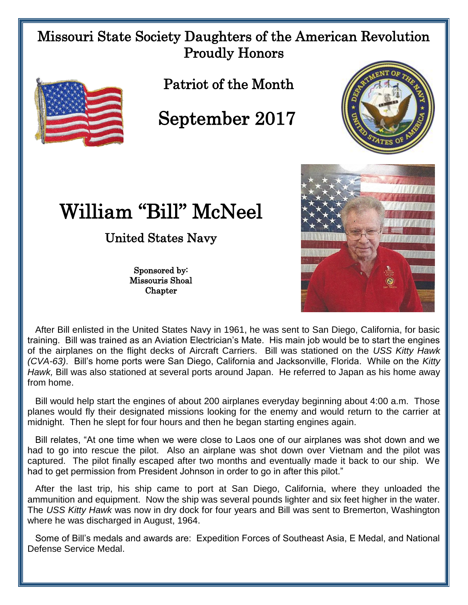## Missouri State Society Daughters of the American Revolution Proudly Honors



Patriot of the Month

September 2017



## William "Bill" McNeel

United States Navy

Sponsored by: Missouris Shoal **Chapter** 



 After Bill enlisted in the United States Navy in 1961, he was sent to San Diego, California, for basic training. Bill was trained as an Aviation Electrician's Mate. His main job would be to start the engines of the airplanes on the flight decks of Aircraft Carriers. Bill was stationed on the *USS Kitty Hawk (CVA-63)*. Bill's home ports were San Diego, California and Jacksonville, Florida. While on the *Kitty Hawk,* Bill was also stationed at several ports around Japan. He referred to Japan as his home away from home.

 Bill would help start the engines of about 200 airplanes everyday beginning about 4:00 a.m. Those planes would fly their designated missions looking for the enemy and would return to the carrier at midnight. Then he slept for four hours and then he began starting engines again.

 Bill relates, "At one time when we were close to Laos one of our airplanes was shot down and we had to go into rescue the pilot. Also an airplane was shot down over Vietnam and the pilot was captured. The pilot finally escaped after two months and eventually made it back to our ship. We had to get permission from President Johnson in order to go in after this pilot."

 After the last trip, his ship came to port at San Diego, California, where they unloaded the ammunition and equipment. Now the ship was several pounds lighter and six feet higher in the water. The *USS Kitty Hawk* was now in dry dock for four years and Bill was sent to Bremerton, Washington where he was discharged in August, 1964.

 Some of Bill's medals and awards are: Expedition Forces of Southeast Asia, E Medal, and National Defense Service Medal.